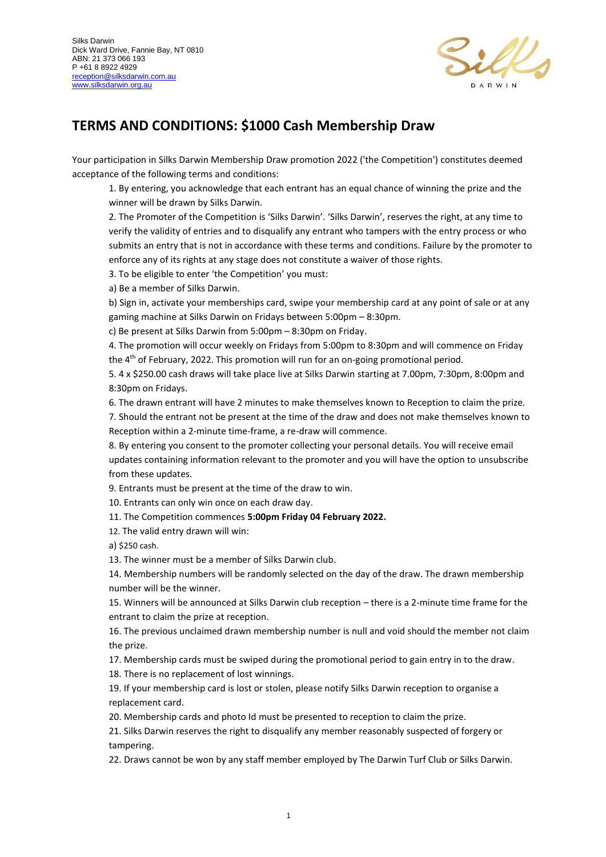

## **TERMS AND CONDITIONS: \$1000 Cash Membership Draw**

Your participation in Silks Darwin Membership Draw promotion 2022 ('the Competition') constitutes deemed acceptance of the following terms and conditions:

1. By entering, you acknowledge that each entrant has an equal chance of winning the prize and the winner will be drawn by Silks Darwin.

2. The Promoter of the Competition is 'Silks Darwin'. 'Silks Darwin', reserves the right, at any time to verify the validity of entries and to disqualify any entrant who tampers with the entry process or who submits an entry that is not in accordance with these terms and conditions. Failure by the promoter to enforce any of its rights at any stage does not constitute a waiver of those rights.

3. To be eligible to enter 'the Competition' you must:

a) Be a member of Silks Darwin.

b) Sign in, activate your memberships card, swipe your membership card at any point of sale or at any gaming machine at Silks Darwin on Fridays between 5:00pm – 8:30pm.

c) Be present at Silks Darwin from 5:00pm – 8:30pm on Friday.

4. The promotion will occur weekly on Fridays from 5:00pm to 8:30pm and will commence on Friday the 4th of February, 2022. This promotion will run for an on-going promotional period.

5. 4 x \$250.00 cash draws will take place live at Silks Darwin starting at 7.00pm, 7:30pm, 8:00pm and 8:30pm on Fridays.

6. The drawn entrant will have 2 minutes to make themselves known to Reception to claim the prize.

7. Should the entrant not be present at the time of the draw and does not make themselves known to Reception within a 2-minute time-frame, a re-draw will commence.

8. By entering you consent to the promoter collecting your personal details. You will receive email updates containing information relevant to the promoter and you will have the option to unsubscribe from these updates.

9. Entrants must be present at the time of the draw to win.

10. Entrants can only win once on each draw day.

11. The Competition commences **5:00pm Friday 04 February 2022.**

12. The valid entry drawn will win:

a) \$250 cash.

13. The winner must be a member of Silks Darwin club.

14. Membership numbers will be randomly selected on the day of the draw. The drawn membership number will be the winner.

15. Winners will be announced at Silks Darwin club reception – there is a 2-minute time frame for the entrant to claim the prize at reception.

16. The previous unclaimed drawn membership number is null and void should the member not claim the prize.

17. Membership cards must be swiped during the promotional period to gain entry in to the draw.

18. There is no replacement of lost winnings.

19. If your membership card is lost or stolen, please notify Silks Darwin reception to organise a replacement card.

20. Membership cards and photo Id must be presented to reception to claim the prize.

21. Silks Darwin reserves the right to disqualify any member reasonably suspected of forgery or tampering.

22. Draws cannot be won by any staff member employed by The Darwin Turf Club or Silks Darwin.